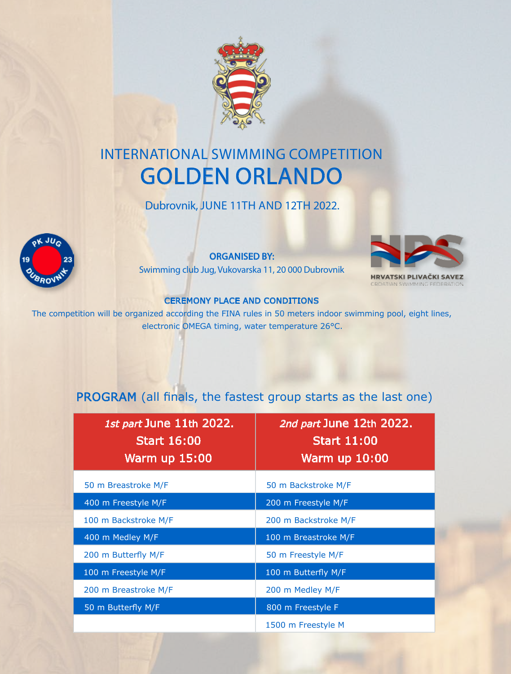

# INTERNATIONAL SWIMMING COMPETITION GOLDEN ORLANDO

Dubrovnik, JUNE 11TH AND 12TH 2022.



ORGANISED BY:

Swimming club Jug, Vukovarska 11, 20 000 Dubrovnik



'SKI PLIVACKI SA ROATIAN SWIMMING FEDERA

#### CEREMONY PLACE AND CONDITIONS

The competition will be organized according the FINA rules in 50 meters indoor swimming pool, eight lines, electronic OMEGA timing, water temperature 26°C.

## PROGRAM (all finals, the fastest group starts as the last one)

| 1st part June 11th 2022.<br><b>Start 16:00</b><br><b>Warm up 15:00</b> | 2nd part June 12th 2022.<br><b>Start 11:00</b><br><b>Warm up 10:00</b> |
|------------------------------------------------------------------------|------------------------------------------------------------------------|
| 50 m Breastroke M/F                                                    | 50 m Backstroke M/F                                                    |
| 400 m Freestyle M/F                                                    | 200 m Freestyle M/F                                                    |
| 100 m Backstroke M/F                                                   | 200 m Backstroke M/F                                                   |
| 400 m Medley M/F                                                       | 100 m Breastroke M/F                                                   |
| 200 m Butterfly M/F                                                    | 50 m Freestyle M/F                                                     |
| 100 m Freestyle M/F                                                    | 100 m Butterfly M/F                                                    |
| 200 m Breastroke M/F                                                   | 200 m Medley M/F                                                       |
| 50 m Butterfly M/F                                                     | 800 m Freestyle F                                                      |
|                                                                        | 1500 m Freestyle M                                                     |